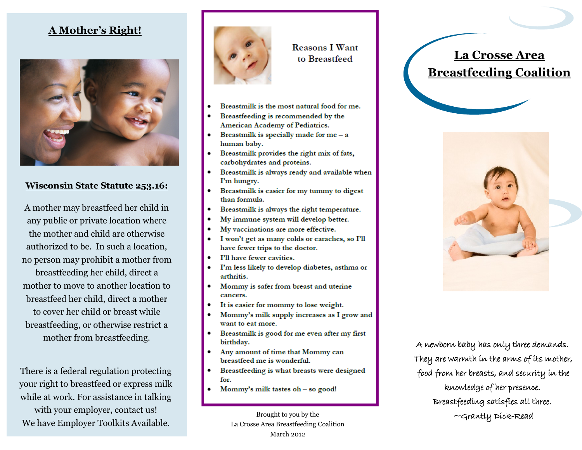### **A Mother's Right!**



#### **Wisconsin State Statute 253.16:**

A mother may breastfeed her child in any public or private location where the mother and child are otherwise authorized to be. In such a location, no person may prohibit a mother from breastfeeding her child, direct a mother to move to another location to breastfeed her child, direct a mother to cover her child or breast while breastfeeding, or otherwise restrict a mother from breastfeeding.

There is a federal regulation protecting your right to breastfeed or express milk while at work. For assistance in talking with your employer, contact us! We have Employer Toolkits Available.



**Reasons I Want** to Breastfeed

- Breastmilk is the most natural food for me.
- Breastfeeding is recommended by the American Academy of Pediatrics.
- Breastmilk is specially made for  $me a$ human baby.
- Breastmilk provides the right mix of fats, carbohydrates and proteins.
- Breastmilk is always ready and available when I'm hungry.
- Breastmilk is easier for my tummy to digest than formula.
- Breastmilk is always the right temperature.  $\bullet$
- My immune system will develop better.
- My vaccinations are more effective.
- I won't get as many colds or earaches, so I'll have fewer trips to the doctor.
- I'll have fewer cavities.
- I'm less likely to develop diabetes, asthma or arthritis.
- $\bullet$ Mommy is safer from breast and uterine cancers.
- It is easier for mommy to lose weight.
- Mommy's milk supply increases as I grow and want to eat more.
- Breastmilk is good for me even after my first birthday.
- $\bullet$ Any amount of time that Mommy can breastfeed me is wonderful.
- Breastfeeding is what breasts were designed for.
- Mommy's milk tastes oh so good!

Brought to you by the La Crosse Area Breastfeeding Coalition March 2012

# **La Crosse Area Breastfeeding Coalition**



A newborn baby has only three demands. They are warmth in the arms of its mother, food from her breasts, and security in the knowledge of her presence. Breastfeeding satisfies all three. ~Grantly Dick-Read